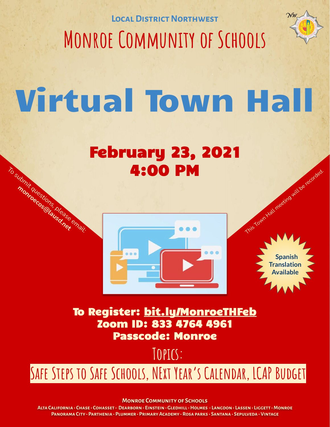**Local District Northwest Monroe Community of Schools**



## Virtual Town Hall

#### February 23, 2021 4:00 PM

To submit questions, please email: **monroecos@lausd.net**



 **Spanish Translation Available**

This Town Hall meeting will be recorded.

To Register: [bit.ly/MonroeTHFeb](http://bit.ly/MonroeTHFeb) Zoom ID: 833 4764 4961 Passcode: Monroe

**Topics:**

### **Safe Steps to Safe Schools, NExt Year's Calendar, LCAP Budget**

**Monroe Community of Schools**

**Alta California • Chase • Cohasset • Dearborn • Einstein • Gledhill • Holmes • Langdon • Lassen • Liggett • Monroe Panorama City • Parthenia • Plummer • Primary Academy • Rosa parks • Santana • Sepulveda • Vintage**